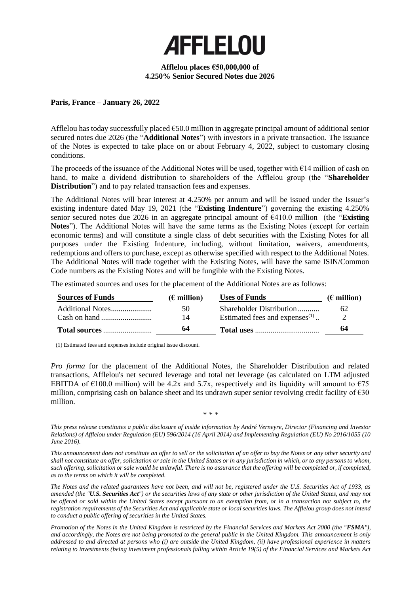

## **Afflelou places €50,000,000 of 4.250% Senior Secured Notes due 2026**

## **Paris, France – January 26, 2022**

Afflelou has today successfully placed €50.0 million in aggregate principal amount of additional senior secured notes due 2026 (the "**Additional Notes**") with investors in a private transaction. The issuance of the Notes is expected to take place on or about February 4, 2022, subject to customary closing conditions.

The proceeds of the issuance of the Additional Notes will be used, together with  $\epsilon$ 14 million of cash on hand, to make a dividend distribution to shareholders of the Afflelou group (the "**Shareholder Distribution**") and to pay related transaction fees and expenses.

The Additional Notes will bear interest at 4.250% per annum and will be issued under the Issuer's existing indenture dated May 19, 2021 (the "**Existing Indenture**") governing the existing 4.250% senior secured notes due 2026 in an aggregate principal amount of €410.0 million (the "**Existing Notes**"). The Additional Notes will have the same terms as the Existing Notes (except for certain economic terms) and will constitute a single class of debt securities with the Existing Notes for all purposes under the Existing Indenture, including, without limitation, waivers, amendments, redemptions and offers to purchase, except as otherwise specified with respect to the Additional Notes. The Additional Notes will trade together with the Existing Notes, will have the same ISIN/Common Code numbers as the Existing Notes and will be fungible with the Existing Notes.

The estimated sources and uses for the placement of the Additional Notes are as follows:

| <b>Sources of Funds</b> | $(\epsilon$ million) | <b>Uses of Funds</b>              | $(\epsilon$ million) |
|-------------------------|----------------------|-----------------------------------|----------------------|
|                         | 50                   | Shareholder Distribution          | 62                   |
| Cash on hand $\ldots$   | 14                   | Estimated fees and expenses $(1)$ |                      |
|                         |                      |                                   | 64                   |

(1) Estimated fees and expenses include original issue discount.

*Pro forma* for the placement of the Additional Notes, the Shareholder Distribution and related transactions, Afflelou's net secured leverage and total net leverage (as calculated on LTM adjusted EBITDA of  $\epsilon$ 100.0 million) will be 4.2x and 5.7x, respectively and its liquidity will amount to  $\epsilon$ 75 million, comprising cash on balance sheet and its undrawn super senior revolving credit facility of €30 million.

\* \* \*

*This press release constitutes a public disclosure of inside information by André Verneyre, Director (Financing and Investor Relations) of Afflelou under Regulation (EU) 596/2014 (16 April 2014) and Implementing Regulation (EU) No 2016/1055 (10 June 2016).* 

*This announcement does not constitute an offer to sell or the solicitation of an offer to buy the Notes or any other security and shall not constitute an offer, solicitation or sale in the United States or in any jurisdiction in which, or to any persons to whom, such offering, solicitation or sale would be unlawful. There is no assurance that the offering will be completed or, if completed, as to the terms on which it will be completed.*

*The Notes and the related guarantees have not been, and will not be, registered under the U.S. Securities Act of 1933, as amended (the "U.S. Securities Act") or the securities laws of any state or other jurisdiction of the United States, and may not be offered or sold within the United States except pursuant to an exemption from, or in a transaction not subject to, the registration requirements of the Securities Act and applicable state or local securities laws. The Afflelou group does not intend to conduct a public offering of securities in the United States.* 

*Promotion of the Notes in the United Kingdom is restricted by the Financial Services and Markets Act 2000 (the "FSMA"), and accordingly, the Notes are not being promoted to the general public in the United Kingdom. This announcement is only addressed to and directed at persons who (i) are outside the United Kingdom, (ii) have professional experience in matters relating to investments (being investment professionals falling within Article 19(5) of the Financial Services and Markets Act*